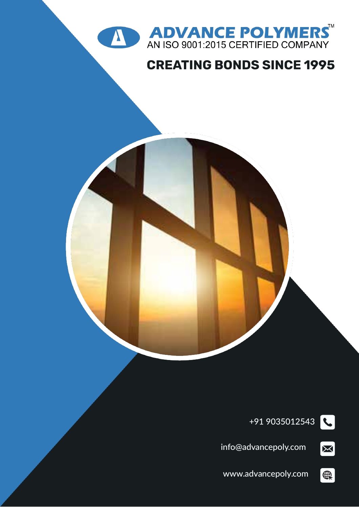



### **CREATING BONDS SINCE 1995**



+91 9035012543

 $\boxed{\boxtimes}$ 

 $\bigoplus$ 

info@advancepoly.com

www.advancepoly.com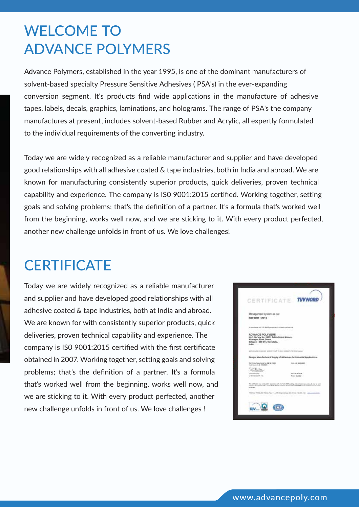## WELCOME TO ADVANCE POLYMERS

Advance Polymers, established in the year 1995, is one of the dominant manufacturers of solvent-based specialty Pressure Sensitive Adhesives ( PSA's) in the ever-expanding conversion segment. It's products find wide applications in the manufacture of adhesive tapes, labels, decals, graphics, laminations, and holograms. The range of PSA's the company manufactures at present, includes solvent-based Rubber and Acrylic, all expertly formulated to the individual requirements of the converting industry.

Today we are widely recognized as a reliable manufacturer and supplier and have developed good relationships with all adhesive coated & tape industries, both in India and abroad. We are known for manufacturing consistently superior products, quick deliveries, proven technical capability and experience. The company is IS0 9001:2015 certified. Working together, setting goals and solving problems; that's the definition of a partner. It's a formula that's worked well from the beginning, works well now, and we are sticking to it. With every product perfected, another new challenge unfolds in front of us. We love challenges!

### **CERTIFICATE**

Today we are widely recognized as a reliable manufacturer and supplier and have developed good relationships with all adhesive coated & tape industries, both at India and abroad. We are known for with consistently superior products, quick deliveries, proven technical capability and experience. The company is IS0 9001:2015 certified with the first certificate obtained in 2007. Working together, setting goals and solving problems; that's the definition of a partner. It's a formula that's worked well from the beginning, works well now, and we are sticking to it. With every product perfected, another new challenge unfolds in front of us. We love challenges !

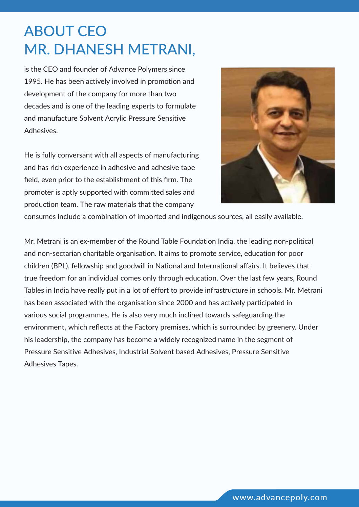# ABOUT CEO MR. DHANESH METRANI,

is the CEO and founder of Advance Polymers since 1995. He has been actively involved in promotion and development of the company for more than two decades and is one of the leading experts to formulate and manufacture Solvent Acrylic Pressure Sensitive Adhesives.

He is fully conversant with all aspects of manufacturing and has rich experience in adhesive and adhesive tape field, even prior to the establishment of this firm. The promoter is aptly supported with committed sales and production team. The raw materials that the company



consumes include a combination of imported and indigenous sources, all easily available.

Mr. Metrani is an ex-member of the Round Table Foundation India, the leading non-political and non-sectarian charitable organisation. It aims to promote service, education for poor children (BPL), fellowship and goodwill in National and International affairs. It believes that true freedom for an individual comes only through education. Over the last few years, Round Tables in India have really put in a lot of effort to provide infrastructure in schools. Mr. Metrani has been associated with the organisation since 2000 and has actively participated in various social programmes. He is also very much inclined towards safeguarding the environment, which reflects at the Factory premises, which is surrounded by greenery. Under his leadership, the company has become a widely recognized name in the segment of Pressure Sensitive Adhesives, Industrial Solvent based Adhesives, Pressure Sensitive Adhesives Tapes.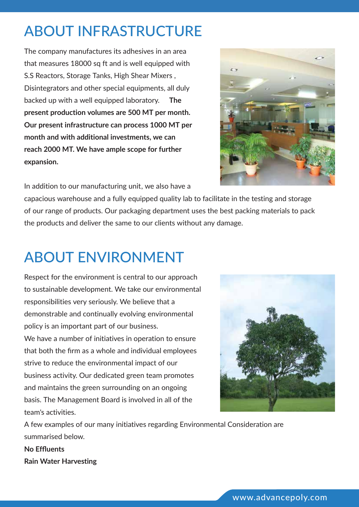# ABOUT INFRASTRUCTURE

The company manufactures its adhesives in an area that measures 18000 sq ft and is well equipped with S.S Reactors, Storage Tanks, High Shear Mixers , Disintegrators and other special equipments, all duly backed up with a well equipped laboratory. **The present production volumes are 500 MT per month. Our present infrastructure can process 1000 MT per month and with additional investments, we can reach 2000 MT. We have ample scope for further expansion.**



In addition to our manufacturing unit, we also have a

capacious warehouse and a fully equipped quality lab to facilitate in the testing and storage of our range of products. Our packaging department uses the best packing materials to pack the products and deliver the same to our clients without any damage.

# ABOUT ENVIRONMENT

Respect for the environment is central to our approach to sustainable development. We take our environmental responsibilities very seriously. We believe that a demonstrable and continually evolving environmental policy is an important part of our business. We have a number of initiatives in operation to ensure that both the firm as a whole and individual employees strive to reduce the environmental impact of our business activity. Our dedicated green team promotes and maintains the green surrounding on an ongoing basis. The Management Board is involved in all of the team's activities.



A few examples of our many initiatives regarding Environmental Consideration are summarised below.

**No Effluents Rain Water Harvesting**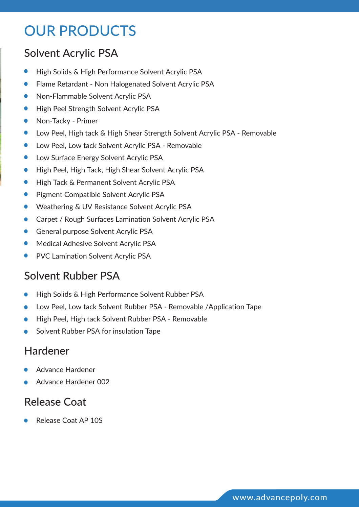## OUR PRODUCTS

### Solvent Acrylic PSA

- $\bullet$ High Solids & High Performance Solvent Acrylic PSA
- Flame Retardant Non Halogenated Solvent Acrylic PSA  $\bullet$
- Non-Flammable Solvent Acrylic PSA  $\bullet$
- High Peel Strength Solvent Acrylic PSA  $\bullet$
- Non-Tacky Primer  $\bullet$
- Low Peel, High tack & High Shear Strength Solvent Acrylic PSA Removable  $\bullet$
- Low Peel, Low tack Solvent Acrylic PSA Removable  $\bullet$
- $\bullet$ Low Surface Energy Solvent Acrylic PSA
- High Peel, High Tack, High Shear Solvent Acrylic PSA  $\bullet$
- $\bullet$ High Tack & Permanent Solvent Acrylic PSA
- $\bullet$ Pigment Compatible Solvent Acrylic PSA
- Weathering & UV Resistance Solvent Acrylic PSA  $\bullet$
- Carpet / Rough Surfaces Lamination Solvent Acrylic PSA  $\bullet$
- General purpose Solvent Acrylic PSA  $\bullet$
- Medical Adhesive Solvent Acrylic PSA  $\bullet$
- PVC Lamination Solvent Acrylic PSA  $\bullet$

### Solvent Rubber PSA

- High Solids & High Performance Solvent Rubber PSA  $\bullet$
- Low Peel, Low tack Solvent Rubber PSA Removable /Application Tape  $\bullet$
- High Peel, High tack Solvent Rubber PSA Removable  $\bullet$
- Solvent Rubber PSA for insulation Tape  $\bullet$

### Hardener

- Advance Hardener
- Advance Hardener 002  $\bullet$

#### Release Coat

Release Coat AP 10S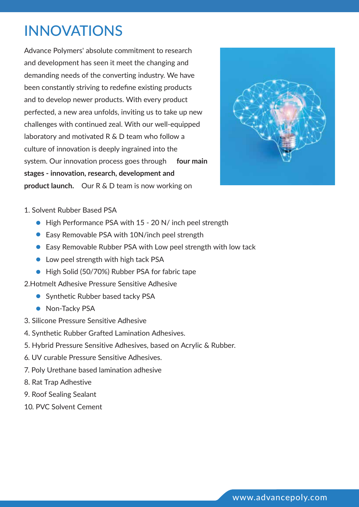## INNOVATIONS

Advance Polymers' absolute commitment to research and development has seen it meet the changing and demanding needs of the converting industry. We have been constantly striving to redefine existing products and to develop newer products. With every product perfected, a new area unfolds, inviting us to take up new challenges with continued zeal. With our well-equipped laboratory and motivated R & D team who follow a culture of innovation is deeply ingrained into the system. Our innovation process goes through **four main stages - innovation, research, development and product launch.** Our R & D team is now working on



- 1. Solvent Rubber Based PSA
	- High Performance PSA with 15 20 N/ inch peel strength
	- Easy Removable PSA with 10N/inch peel strength
	- Easy Removable Rubber PSA with Low peel strength with low tack
	- Low peel strength with high tack PSA
	- High Solid (50/70%) Rubber PSA for fabric tape
- 2.Hotmelt Adhesive Pressure Sensitive Adhesive
	- Synthetic Rubber based tacky PSA
	- Non-Tacky PSA
- 3. Silicone Pressure Sensitive Adhesive
- 4. Synthetic Rubber Grafted Lamination Adhesives.
- 5. Hybrid Pressure Sensitive Adhesives, based on Acrylic & Rubber.
- 6. UV curable Pressure Sensitive Adhesives.
- 7. Poly Urethane based lamination adhesive
- 8. Rat Trap Adhestive
- 9. Roof Sealing Sealant
- 10. PVC Solvent Cement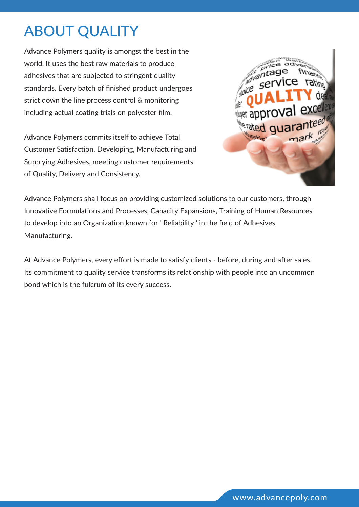# ABOUT QUALITY

Advance Polymers quality is amongst the best in the world. It uses the best raw materials to produce adhesives that are subjected to stringent quality standards. Every batch of finished product undergoes strict down the line process control & monitoring including actual coating trials on polyester film.

Advance Polymers commits itself to achieve Total Customer Satisfaction, Developing, Manufacturing and Supplying Adhesives, meeting customer requirements of Quality, Delivery and Consistency.



Advance Polymers shall focus on providing customized solutions to our customers, through Innovative Formulations and Processes, Capacity Expansions, Training of Human Resources to develop into an Organization known for ' Reliability ' in the field of Adhesives Manufacturing.

At Advance Polymers, every effort is made to satisfy clients - before, during and after sales. Its commitment to quality service transforms its relationship with people into an uncommon bond which is the fulcrum of its every success.